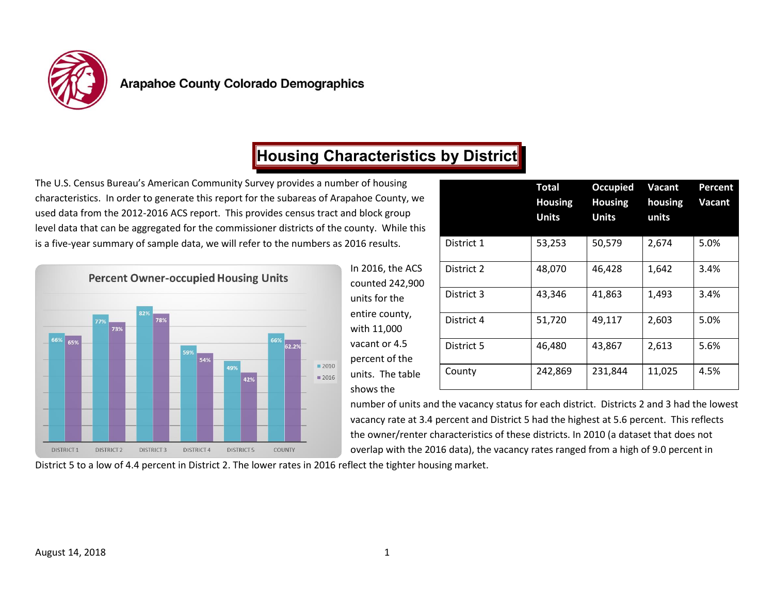

# **Housing Characteristics by District**

The U.S. Census Bureau's American Community Survey provides a number of housing characteristics. In order to generate this report for the subareas of Arapahoe County, we used data from the 2012-2016 ACS report. This provides census tract and block group level data that can be aggregated for the commissioner districts of the county. While this is a five-year summary of sample data, we will refer to the numbers as 2016 results.



| er of housing<br>vahoe County, we<br>d block group<br>ounty. While this |            | <b>Total</b><br><b>Housing</b><br><b>Units</b> | <b>Occupied</b><br><b>Housing</b><br><b>Units</b> | <b>Vacant</b><br>housing<br>units | Percent<br>Vacant |
|-------------------------------------------------------------------------|------------|------------------------------------------------|---------------------------------------------------|-----------------------------------|-------------------|
| :016 results.                                                           | District 1 | 53,253                                         | 50,579                                            | 2,674                             | 5.0%              |
| In 2016, the ACS<br>counted 242,900<br>units for the                    | District 2 | 48,070                                         | 46,428                                            | 1,642                             | 3.4%              |
|                                                                         | District 3 | 43,346                                         | 41,863                                            | 1,493                             | 3.4%              |
| entire county,<br>with 11,000                                           | District 4 | 51,720                                         | 49,117                                            | 2,603                             | 5.0%              |
| vacant or 4.5<br>percent of the                                         | District 5 | 46,480                                         | 43,867                                            | 2,613                             | 5.6%              |
| units. The table<br>shows the                                           | County     | 242,869                                        | 231,844                                           | 11,025                            | 4.5%              |

number of units and the vacancy status for each district. Districts 2 and 3 had the lowest vacancy rate at 3.4 percent and District 5 had the highest at 5.6 percent. This reflects the owner/renter characteristics of these districts. In 2010 (a dataset that does not overlap with the 2016 data), the vacancy rates ranged from a high of 9.0 percent in

District 5 to a low of 4.4 percent in District 2. The lower rates in 2016 reflect the tighter housing market.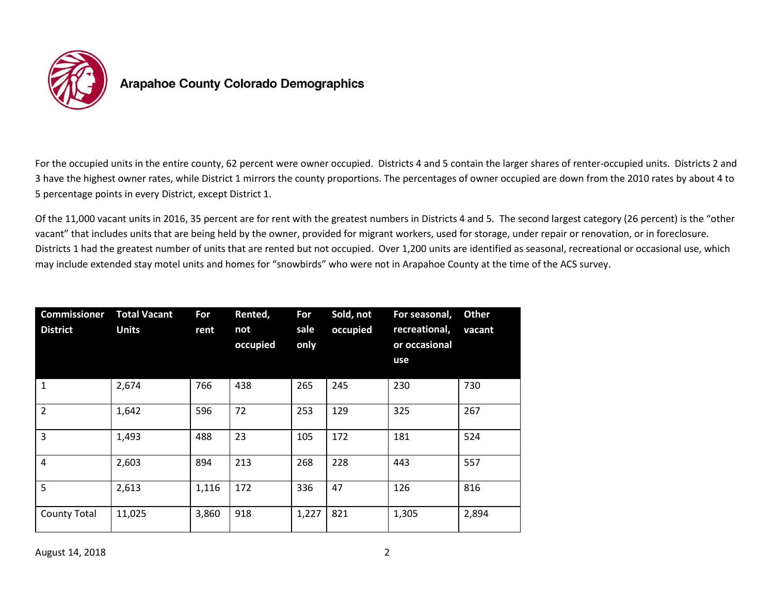

For the occupied units in the entire county, 62 percent were owner occupied. Districts 4 and 5 contain the larger shares of renter-occupied units. Districts 2 and 3 have the highest owner rates, while District 1 mirrors the county proportions. The percentages of owner occupied are down from the 2010 rates by about 4 to 5 percentage points in every District, except District 1.

Of the 11,000 vacant units in 2016, 35 percent are for rent with the greatest numbers in Districts 4 and 5. The second largest category (26 percent) is the "other vacant" that includes units that are being held by the owner, provided for migrant workers, used for storage, under repair or renovation, or in foreclosure. Districts 1 had the greatest number of units that are rented but not occupied. Over 1,200 units are identified as seasonal, recreational or occasional use, which may include extended stay motel units and homes for "snowbirds" who were not in Arapahoe County at the time of the ACS survey.

| Commissioner<br><b>District</b> | <b>Total Vacant</b><br><b>Units</b> | For<br>rent | Rented,<br>not<br>occupied | For<br>sale<br>only | Sold, not<br>occupied | For seasonal,<br>recreational,<br>or occasional<br>use | <b>Other</b><br>vacant |
|---------------------------------|-------------------------------------|-------------|----------------------------|---------------------|-----------------------|--------------------------------------------------------|------------------------|
| 1                               | 2,674                               | 766         | 438                        | 265                 | 245                   | 230                                                    | 730                    |
| $\overline{2}$                  | 1,642                               | 596         | 72                         | 253                 | 129                   | 325                                                    | 267                    |
| 3                               | 1,493                               | 488         | 23                         | 105                 | 172                   | 181                                                    | 524                    |
| $\overline{4}$                  | 2,603                               | 894         | 213                        | 268                 | 228                   | 443                                                    | 557                    |
| 5                               | 2,613                               | 1,116       | 172                        | 336                 | 47                    | 126                                                    | 816                    |
| <b>County Total</b>             | 11,025                              | 3,860       | 918                        | 1,227               | 821                   | 1,305                                                  | 2,894                  |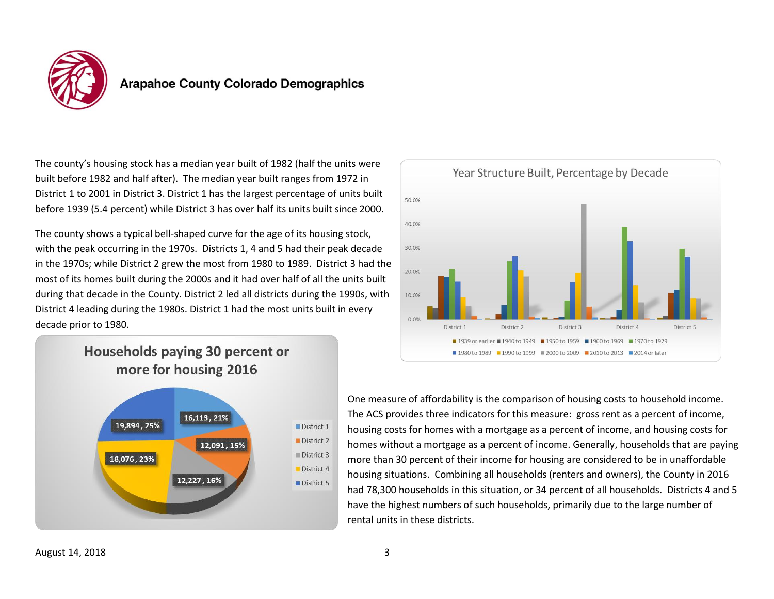

The county's housing stock has a median year built of 1982 (half the units were built before 1982 and half after). The median year built ranges from 1972 in District 1 to 2001 in District 3. District 1 has the largest percentage of units built before 1939 (5.4 percent) while District 3 has over half its units built since 2000.

The county shows a typical bell-shaped curve for the age of its housing stock, with the peak occurring in the 1970s. Districts 1, 4 and 5 had their peak decade in the 1970s; while District 2 grew the most from 1980 to 1989. District 3 had the most of its homes built during the 2000s and it had over half of all the units built during that decade in the County. District 2 led all districts during the 1990s, with District 4 leading during the 1980s. District 1 had the most units built in every decade prior to 1980.



### Households paying 30 percent or more for housing 2016



One measure of affordability is the comparison of housing costs to household income. The ACS provides three indicators for this measure: gross rent as a percent of income, housing costs for homes with a mortgage as a percent of income, and housing costs for homes without a mortgage as a percent of income. Generally, households that are paying more than 30 percent of their income for housing are considered to be in unaffordable housing situations. Combining all households (renters and owners), the County in 2016 had 78,300 households in this situation, or 34 percent of all households. Districts 4 and 5 have the highest numbers of such households, primarily due to the large number of rental units in these districts.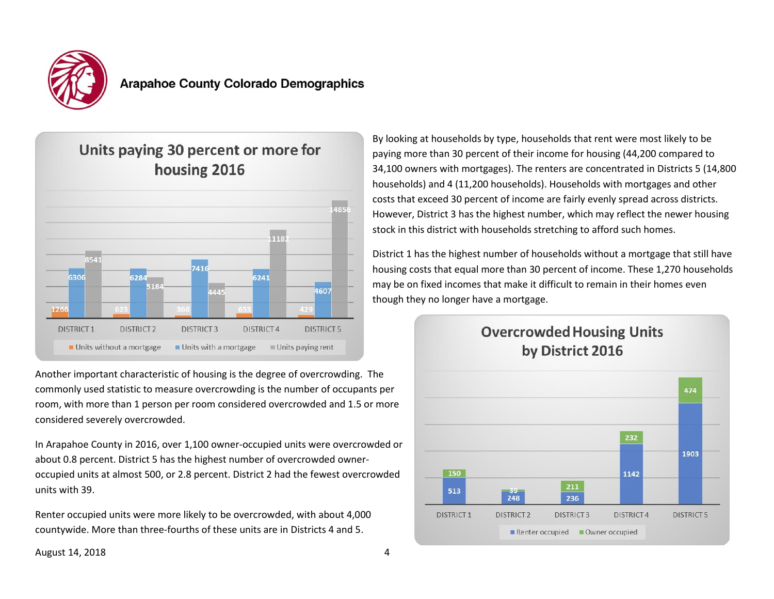



Another important characteristic of housing is the degree of overcrowding. The commonly used statistic to measure overcrowding is the number of occupants per room, with more than 1 person per room considered overcrowded and 1.5 or more considered severely overcrowded.

In Arapahoe County in 2016, over 1,100 owner-occupied units were overcrowded or about 0.8 percent. District 5 has the highest number of overcrowded owneroccupied units at almost 500, or 2.8 percent. District 2 had the fewest overcrowded units with 39.

Renter occupied units were more likely to be overcrowded, with about 4,000 countywide. More than three-fourths of these units are in Districts 4 and 5.

By looking at households by type, households that rent were most likely to be paying more than 30 percent of their income for housing (44,200 compared to 34,100 owners with mortgages). The renters are concentrated in Districts 5 (14,800 households) and 4 (11,200 households). Households with mortgages and other costs that exceed 30 percent of income are fairly evenly spread across districts. However, District 3 has the highest number, which may reflect the newer housing stock in this district with households stretching to afford such homes.

District 1 has the highest number of households without a mortgage that still have housing costs that equal more than 30 percent of income. These 1,270 households may be on fixed incomes that make it difficult to remain in their homes even though they no longer have a mortgage.